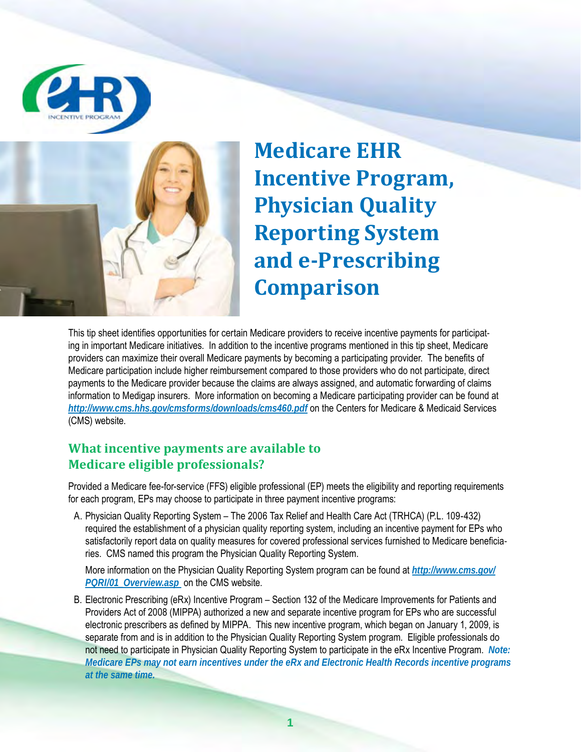



**Medicare EHR Incentive Program, Physician Quality Reporting System and e-Prescribing Comparison**

This tip sheet identifies opportunities for certain Medicare providers to receive incentive payments for participating in important Medicare initiatives. In addition to the incentive programs mentioned in this tip sheet, Medicare providers can maximize their overall Medicare payments by becoming a participating provider. The benefits of Medicare participation include higher reimbursement compared to those providers who do not participate, direct payments to the Medicare provider because the claims are always assigned, and automatic forwarding of claims information to Medigap insurers. More information on becoming a Medicare participating provider can be found at *http://www.cms.hhs.gov/cmsforms/downloads/cms460.pdf* on the Centers for Medicare & Medicaid Services (CMS) website.

# **What incentive payments are available to Medicare eligible professionals?**

Provided a Medicare fee-for-service (FFS) eligible professional (EP) meets the eligibility and reporting requirements for each program, EPs may choose to participate in three payment incentive programs:

A. Physician Quality Reporting System – The 2006 Tax Relief and Health Care Act (TRHCA) (P.L. 109-432) required the establishment of a physician quality reporting system, including an incentive payment for EPs who satisfactorily report data on quality measures for covered professional services furnished to Medicare beneficiaries. CMS named this program the Physician Quality Reporting System.

More information on the Physician Quality Reporting System program can be found at *http://www.cms.gov/ PQRI/01\_Overview.asp* on the CMS website.

B. Electronic Prescribing (eRx) Incentive Program – Section 132 of the Medicare Improvements for Patients and Providers Act of 2008 (MIPPA) authorized a new and separate incentive program for EPs who are successful electronic prescribers as defined by MIPPA. This new incentive program, which began on January 1, 2009, is separate from and is in addition to the Physician Quality Reporting System program. Eligible professionals do not need to participate in Physician Quality Reporting System to participate in the eRx Incentive Program. *Note: Medicare EPs may not earn incentives under the eRx and Electronic Health Records incentive programs at the same time.*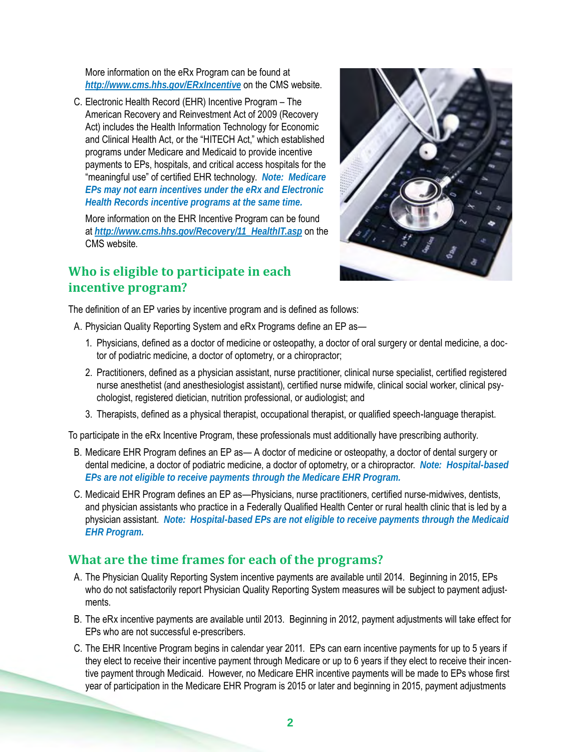More information on the eRx Program can be found at *http://www.cms.hhs.gov/ERxIncentive* on the CMS website.

C. Electronic Health Record (EHR) Incentive Program – The American Recovery and Reinvestment Act of 2009 (Recovery Act) includes the Health Information Technology for Economic and Clinical Health Act, or the "HITECH Act," which established programs under Medicare and Medicaid to provide incentive payments to EPs, hospitals, and critical access hospitals for the "meaningful use" of certified EHR technology. *Note: Medicare EPs may not earn incentives under the eRx and Electronic Health Records incentive programs at the same time.*

More information on the EHR Incentive Program can be found at *http://www.cms.hhs.gov/Recovery/11\_HealthIT.asp* on the CMS website.

# **Who is eligible to participate in each incentive program?**



The definition of an EP varies by incentive program and is defined as follows:

- A. Physician Quality Reporting System and eRx Programs define an EP as—
	- 1. Physicians, defined as a doctor of medicine or osteopathy, a doctor of oral surgery or dental medicine, a doctor of podiatric medicine, a doctor of optometry, or a chiropractor;
	- 2. Practitioners, defined as a physician assistant, nurse practitioner, clinical nurse specialist, certified registered nurse anesthetist (and anesthesiologist assistant), certified nurse midwife, clinical social worker, clinical psychologist, registered dietician, nutrition professional, or audiologist; and
	- 3. Therapists, defined as a physical therapist, occupational therapist, or qualified speech-language therapist.

To participate in the eRx Incentive Program, these professionals must additionally have prescribing authority.

- B. Medicare EHR Program defines an EP as— A doctor of medicine or osteopathy, a doctor of dental surgery or dental medicine, a doctor of podiatric medicine, a doctor of optometry, or a chiropractor. *Note: Hospital-based EPs are not eligible to receive payments through the Medicare EHR Program.*
- C. Medicaid EHR Program defines an EP as—Physicians, nurse practitioners, certified nurse-midwives, dentists, and physician assistants who practice in a Federally Qualified Health Center or rural health clinic that is led by a physician assistant. *Note: Hospital-based EPs are not eligible to receive payments through the Medicaid EHR Program.*

## **What are the time frames for each of the programs?**

- A. The Physician Quality Reporting System incentive payments are available until 2014. Beginning in 2015, EPs who do not satisfactorily report Physician Quality Reporting System measures will be subject to payment adjustments.
- B. The eRx incentive payments are available until 2013. Beginning in 2012, payment adjustments will take effect for EPs who are not successful e-prescribers.
- C. The EHR Incentive Program begins in calendar year 2011. EPs can earn incentive payments for up to 5 years if they elect to receive their incentive payment through Medicare or up to 6 years if they elect to receive their incentive payment through Medicaid. However, no Medicare EHR incentive payments will be made to EPs whose first year of participation in the Medicare EHR Program is 2015 or later and beginning in 2015, payment adjustments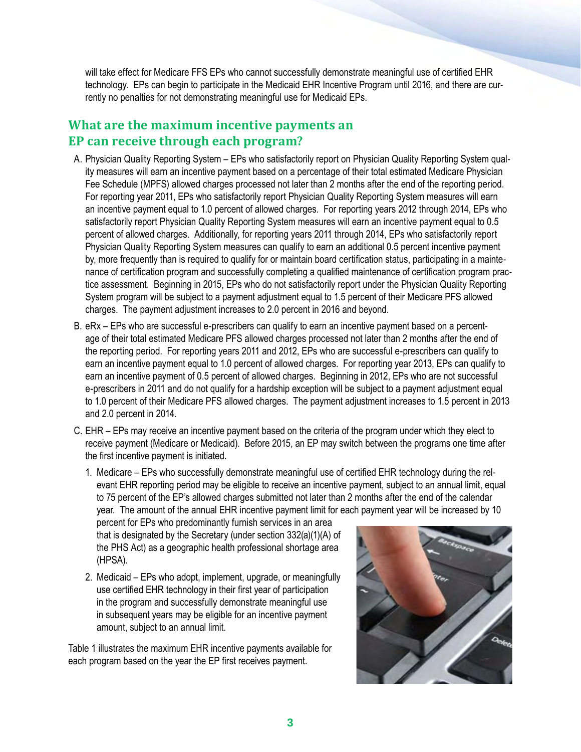will take effect for Medicare FFS EPs who cannot successfully demonstrate meaningful use of certified EHR technology. EPs can begin to participate in the Medicaid EHR Incentive Program until 2016, and there are currently no penalties for not demonstrating meaningful use for Medicaid EPs.

# **What are the maximum incentive payments an EP can receive through each program?**

- A. Physician Quality Reporting System EPs who satisfactorily report on Physician Quality Reporting System quality measures will earn an incentive payment based on a percentage of their total estimated Medicare Physician Fee Schedule (MPFS) allowed charges processed not later than 2 months after the end of the reporting period. For reporting year 2011, EPs who satisfactorily report Physician Quality Reporting System measures will earn an incentive payment equal to 1.0 percent of allowed charges. For reporting years 2012 through 2014, EPs who satisfactorily report Physician Quality Reporting System measures will earn an incentive payment equal to 0.5 percent of allowed charges. Additionally, for reporting years 2011 through 2014, EPs who satisfactorily report Physician Quality Reporting System measures can qualify to earn an additional 0.5 percent incentive payment by, more frequently than is required to qualify for or maintain board certification status, participating in a maintenance of certification program and successfully completing a qualified maintenance of certification program practice assessment. Beginning in 2015, EPs who do not satisfactorily report under the Physician Quality Reporting System program will be subject to a payment adjustment equal to 1.5 percent of their Medicare PFS allowed charges. The payment adjustment increases to 2.0 percent in 2016 and beyond.
- B. eRx EPs who are successful e-prescribers can qualify to earn an incentive payment based on a percentage of their total estimated Medicare PFS allowed charges processed not later than 2 months after the end of the reporting period. For reporting years 2011 and 2012, EPs who are successful e-prescribers can qualify to earn an incentive payment equal to 1.0 percent of allowed charges. For reporting year 2013, EPs can qualify to earn an incentive payment of 0.5 percent of allowed charges. Beginning in 2012, EPs who are not successful e-prescribers in 2011 and do not qualify for a hardship exception will be subject to a payment adjustment equal to 1.0 percent of their Medicare PFS allowed charges. The payment adjustment increases to 1.5 percent in 2013 and 2.0 percent in 2014.
- C. EHR EPs may receive an incentive payment based on the criteria of the program under which they elect to receive payment (Medicare or Medicaid). Before 2015, an EP may switch between the programs one time after the first incentive payment is initiated.
	- 1. Medicare EPs who successfully demonstrate meaningful use of certified EHR technology during the relevant EHR reporting period may be eligible to receive an incentive payment, subject to an annual limit, equal to 75 percent of the EP's allowed charges submitted not later than 2 months after the end of the calendar year. The amount of the annual EHR incentive payment limit for each payment year will be increased by 10

percent for EPs who predominantly furnish services in an area that is designated by the Secretary (under section 332(a)(1)(A) of the PHS Act) as a geographic health professional shortage area (HPSA).

2. Medicaid – EPs who adopt, implement, upgrade, or meaningfully use certified EHR technology in their first year of participation in the program and successfully demonstrate meaningful use in subsequent years may be eligible for an incentive payment amount, subject to an annual limit.

Table 1 illustrates the maximum EHR incentive payments available for each program based on the year the EP first receives payment.

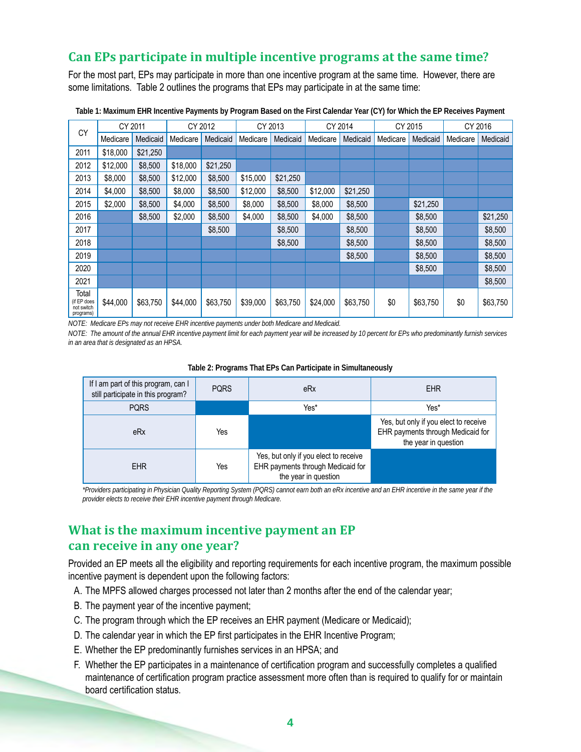## **Can EPs participate in multiple incentive programs at the same time?**

For the most part, EPs may participate in more than one incentive program at the same time. However, there are some limitations. Table 2 outlines the programs that EPs may participate in at the same time:

|                                                 | CY 2011  |          |          | CY 2012  |          | CY 2013  |          | CY 2014  | CY 2015  |          | CY 2016  |          |
|-------------------------------------------------|----------|----------|----------|----------|----------|----------|----------|----------|----------|----------|----------|----------|
| CY                                              | Medicare | Medicaid | Medicare | Medicaid | Medicare | Medicaid | Medicare | Medicaid | Medicare | Medicaid | Medicare | Medicaid |
| 2011                                            | \$18,000 | \$21,250 |          |          |          |          |          |          |          |          |          |          |
| 2012                                            | \$12,000 | \$8,500  | \$18,000 | \$21.250 |          |          |          |          |          |          |          |          |
| 2013                                            | \$8,000  | \$8,500  | \$12,000 | \$8,500  | \$15,000 | \$21,250 |          |          |          |          |          |          |
| 2014                                            | \$4,000  | \$8,500  | \$8,000  | \$8,500  | \$12,000 | \$8,500  | \$12,000 | \$21,250 |          |          |          |          |
| 2015                                            | \$2,000  | \$8,500  | \$4,000  | \$8,500  | \$8,000  | \$8,500  | \$8,000  | \$8,500  |          | \$21,250 |          |          |
| 2016                                            |          | \$8,500  | \$2,000  | \$8,500  | \$4,000  | \$8,500  | \$4,000  | \$8,500  |          | \$8,500  |          | \$21,250 |
| 2017                                            |          |          |          | \$8,500  |          | \$8,500  |          | \$8,500  |          | \$8,500  |          | \$8,500  |
| 2018                                            |          |          |          |          |          | \$8,500  |          | \$8,500  |          | \$8,500  |          | \$8,500  |
| 2019                                            |          |          |          |          |          |          |          | \$8,500  |          | \$8,500  |          | \$8,500  |
| 2020                                            |          |          |          |          |          |          |          |          |          | \$8,500  |          | \$8,500  |
| 2021                                            |          |          |          |          |          |          |          |          |          |          |          | \$8,500  |
| Total<br>(if EP does<br>not switch<br>programs) | \$44,000 | \$63,750 | \$44,000 | \$63,750 | \$39,000 | \$63,750 | \$24,000 | \$63,750 | \$0      | \$63,750 | \$0      | \$63,750 |

**Table 1: Maximum EHR Incentive Payments by Program Based on the First Calendar Year (CY) for Which the EP Receives Payment** 

*NOTE: Medicare EPs may not receive EHR incentive payments under both Medicare and Medicaid.* 

*NOTE: The amount of the annual EHR incentive payment limit for each payment year will be increased by 10 percent for EPs who predominantly furnish services in an area that is designated as an HPSA.*

| Table 2: Programs That EPs Can Participate in Simultaneously |  |
|--------------------------------------------------------------|--|
|--------------------------------------------------------------|--|

| If I am part of this program, can I<br>still participate in this program? | <b>PORS</b> | eRx                                                                                                | <b>EHR</b>                                                                                         |
|---------------------------------------------------------------------------|-------------|----------------------------------------------------------------------------------------------------|----------------------------------------------------------------------------------------------------|
| <b>PQRS</b>                                                               |             | Yes*                                                                                               | Yes*                                                                                               |
| eRx                                                                       | Yes         |                                                                                                    | Yes, but only if you elect to receive<br>EHR payments through Medicaid for<br>the year in question |
| <b>EHR</b>                                                                | Yes         | Yes, but only if you elect to receive<br>EHR payments through Medicaid for<br>the year in question |                                                                                                    |

*\*Providers participating in Physician Quality Reporting System (PQRS) cannot earn both an eRx incentive and an EHR incentive in the same year if the provider elects to receive their EHR incentive payment through Medicare.* 

## **What is the maximum incentive payment an EP can receive in any one year?**

Provided an EP meets all the eligibility and reporting requirements for each incentive program, the maximum possible incentive payment is dependent upon the following factors:

- A. The MPFS allowed charges processed not later than 2 months after the end of the calendar year;
- B. The payment year of the incentive payment;
- C. The program through which the EP receives an EHR payment (Medicare or Medicaid);
- D. The calendar year in which the EP first participates in the EHR Incentive Program;
- E. Whether the EP predominantly furnishes services in an HPSA; and
- F. Whether the EP participates in a maintenance of certification program and successfully completes a qualified maintenance of certification program practice assessment more often than is required to qualify for or maintain board certification status.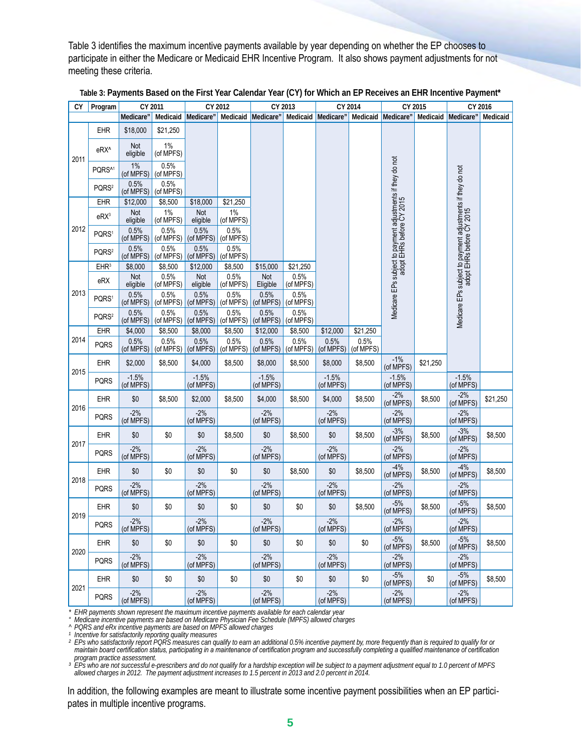Table 3 identifies the maximum incentive payments available by year depending on whether the EP chooses to participate in either the Medicare or Medicaid EHR Incentive Program. It also shows payment adjustments for not meeting these criteria.

| СY   | Program            | CY 2011              |                    |                      | CY 2012            | CY 2013              |                   | CY 2014              |                   | CY 2015                                                                                 |          | CY 2016                                                                                 |          |
|------|--------------------|----------------------|--------------------|----------------------|--------------------|----------------------|-------------------|----------------------|-------------------|-----------------------------------------------------------------------------------------|----------|-----------------------------------------------------------------------------------------|----------|
|      |                    | Medicare"            | Medicaid           | Medicare"            | Medicaid           | Medicare"            |                   | Medicaid Medicare"   |                   | Medicaid Medicare"                                                                      |          | Medicaid Medicare"                                                                      | Medicaid |
|      | <b>EHR</b>         | \$18,000             | \$21,250           |                      |                    |                      |                   |                      |                   |                                                                                         |          |                                                                                         |          |
| 2011 | eRX <sup>^</sup>   | Not<br>eligible      | 1%<br>(of MPFS)    |                      |                    |                      |                   |                      |                   |                                                                                         |          |                                                                                         |          |
|      | PQRS <sup>^1</sup> | $1\%$<br>(of MPFS)   | 0.5%<br>(of MPFS)  |                      |                    |                      |                   |                      |                   |                                                                                         |          |                                                                                         |          |
|      | PQRS <sup>2</sup>  | 0.5%<br>(of MPFS)    | 0.5%<br>(of MPFS)  |                      |                    |                      |                   |                      |                   |                                                                                         |          |                                                                                         |          |
|      | <b>EHR</b>         | \$12,000             | \$8,500            | \$18,000             | \$21.250           |                      |                   |                      |                   |                                                                                         |          |                                                                                         |          |
|      | $eRX^3$            | Not<br>eligible      | $1\%$<br>(of MPFS) | Not<br>eligible      | $1\%$<br>(of MPFS) |                      |                   |                      |                   |                                                                                         |          |                                                                                         |          |
| 2012 | PQRS <sup>1</sup>  | 0.5%<br>(of MPFS)    | 0.5%<br>(of MPFS)  | 0.5%<br>(of MPFS)    | 0.5%<br>(of MPFS)  |                      |                   |                      |                   | Medicare EPs subject to payment adjustments if they do not<br>adopt EHRs before CY 2015 |          | Medicare EPs subject to payment adjustments if they do not<br>adopt EHRs before CY 2015 |          |
|      | PQRS <sup>2</sup>  | 0.5%<br>(of MPFS)    | 0.5%<br>(of MPFS)  | 0.5%<br>(of MPFS)    | 0.5%<br>(of MPFS)  |                      |                   |                      |                   |                                                                                         |          |                                                                                         |          |
|      | EHR <sup>3</sup>   | \$8,000              | \$8,500            | \$12,000             | \$8,500            | \$15,000             | \$21,250          |                      |                   |                                                                                         |          |                                                                                         |          |
|      | eRX                | Not<br>eligible      | 0.5%<br>(of MPFS)  | Not<br>eligible      | 0.5%<br>(of MPFS)  | Not<br>Eligible      | 0.5%<br>(of MPFS) |                      |                   |                                                                                         |          |                                                                                         |          |
| 2013 | PQRS <sup>1</sup>  | 0.5%<br>(of MPFS)    | 0.5%<br>(of MPFS)  | 0.5%<br>(of MPFS)    | 0.5%<br>(of MPFS)  | 0.5%<br>(of MPFS)    | 0.5%<br>(of MPFS) |                      |                   |                                                                                         |          |                                                                                         |          |
|      | PQRS <sup>2</sup>  | 0.5%<br>(of MPFS)    | 0.5%<br>(of MPFS)  | 0.5%<br>(of MPFS)    | 0.5%<br>(of MPFS)  | 0.5%<br>(of MPFS)    | 0.5%<br>(of MPFS) |                      |                   |                                                                                         |          |                                                                                         |          |
|      | EHR                | \$4,000              | \$8,500            | \$8,000              | \$8,500            | \$12,000             | \$8,500           | \$12,000             | \$21,250          |                                                                                         |          |                                                                                         |          |
| 2014 | <b>PQRS</b>        | 0.5%<br>(of MPFS)    | 0.5%<br>(of MPFS)  | 0.5%<br>(of MPFS)    | 0.5%<br>(of MPFS)  | 0.5%<br>(of MPFS)    | 0.5%<br>(of MPFS) | 0.5%<br>(of MPFS)    | 0.5%<br>(of MPFS) |                                                                                         |          |                                                                                         |          |
| 2015 | <b>EHR</b>         | \$2,000              | \$8,500            | \$4,000              | \$8,500            | \$8,000              | \$8,500           | \$8,000              | \$8,500           | $-1%$<br>(of MPFS)                                                                      | \$21,250 |                                                                                         |          |
|      | <b>PQRS</b>        | $-1.5%$<br>(of MPFS) |                    | $-1.5%$<br>(of MPFS) |                    | $-1.5%$<br>(of MPFS) |                   | $-1.5%$<br>(of MPFS) |                   | $-1.5%$<br>(of MPFS)                                                                    |          | $-1.5%$<br>(of MPFS)                                                                    |          |
| 2016 | <b>EHR</b>         | \$0                  | \$8,500            | \$2,000              | \$8,500            | \$4,000              | \$8,500           | \$4,000              | \$8,500           | $-2%$<br>(of MPFS)                                                                      | \$8,500  | $-2%$<br>(of MPFS)                                                                      | \$21,250 |
|      | <b>PQRS</b>        | $-2%$<br>(of MPFS)   |                    | $-2%$<br>(of MPFS)   |                    | $-2%$<br>(of MPFS)   |                   | $-2%$<br>(of MPFS)   |                   | $-2%$<br>(of MPFS)                                                                      |          | $-2%$<br>(of MPFS)                                                                      |          |
| 2017 | <b>EHR</b>         | \$0                  | \$0                | \$0                  | \$8,500            | \$0                  | \$8,500           | \$0                  | \$8,500           | $-3%$<br>(of MPFS)                                                                      | \$8,500  | $-3%$<br>(of MPFS)                                                                      | \$8,500  |
|      | <b>PQRS</b>        | $-2%$<br>(of MPFS)   |                    | $-2%$<br>(of MPFS)   |                    | $-2%$<br>(of MPFS)   |                   | $-2%$<br>(of MPFS)   |                   | $-2%$<br>(of MPFS)                                                                      |          | $-2%$<br>(of MPFS)                                                                      |          |
| 2018 | <b>EHR</b>         | \$0                  | \$0                | \$0                  | \$0                | \$0                  | \$8,500           | \$0                  | \$8,500           | $-4%$<br>(of MPFS)                                                                      | \$8,500  | $-4%$<br>(of MPFS)                                                                      | \$8,500  |
|      | <b>PQRS</b>        | $-2%$<br>(of MPFS)   |                    | $-2%$<br>(of MPFS)   |                    | $-2%$<br>(of MPFS)   |                   | $-2%$<br>(of MPFS)   |                   | -2%<br>(of MPFS)                                                                        |          | $-2%$<br>(of MPFS)                                                                      |          |
| 2019 | <b>EHR</b>         | \$0                  | \$0                | \$0                  | \$0                | \$0                  | \$0               | \$0                  | \$8,500           | $-5%$<br>(of MPFS)                                                                      | \$8,500  | $-5%$<br>(of MPFS)                                                                      | \$8,500  |
|      | <b>PQRS</b>        | $-2%$<br>(of MPFS)   |                    | $-2%$<br>(of MPFS)   |                    | $-2%$<br>(of MPFS)   |                   | $-2%$<br>(of MPFS)   |                   | $-2%$<br>(of MPFS)                                                                      |          | $-2%$<br>(of MPFS)                                                                      |          |
| 2020 | <b>EHR</b>         | \$0                  | \$0                | \$0                  | \$0                | \$0                  | \$0               | \$0                  | \$0               | $-5%$<br>(of MPFS)                                                                      | \$8,500  | $-5%$<br>(of MPFS)                                                                      | \$8,500  |
|      | <b>PQRS</b>        | $-2%$<br>(of MPFS)   |                    | $-2%$<br>(of MPFS)   |                    | $-2%$<br>(of MPFS)   |                   | $-2%$<br>(of MPFS)   |                   | $-2%$<br>(of MPFS)                                                                      |          | $-2%$<br>(of MPFS)                                                                      |          |
| 2021 | <b>EHR</b>         | \$0                  | \$0                | \$0                  | \$0                | \$0                  | \$0               | \$0                  | \$0               | $-5%$<br>(of MPFS)                                                                      | \$0      | $-5%$<br>(of MPFS)                                                                      | \$8,500  |
|      | <b>PQRS</b>        | $-2%$<br>(of MPFS)   |                    | $-2%$<br>(of MPFS)   |                    | $-2%$<br>(of MPFS)   |                   | $-2%$<br>(of MPFS)   |                   | $-2%$<br>(of MPFS)                                                                      |          | $-2%$<br>(of MPFS)                                                                      |          |

| Table 3: Payments Based on the First Year Calendar Year (CY) for Which an EP Receives an EHR Incentive Payment* |  |
|-----------------------------------------------------------------------------------------------------------------|--|
|-----------------------------------------------------------------------------------------------------------------|--|

*\* EHR payments shown represent the maximum incentive payments available for each calendar year*

*" Medicare incentive payments are based on Medicare Physician Fee Schedule (MPFS) allowed charges*

*^ PQRS and eRx incentive payments are based on MPFS allowed charges*

*¹ Incentive for satisfactorily reporting quality measures*

*² EPs who satisfactorily report PQRS measures can qualify to earn an additional 0.5% incentive payment by, more frequently than is required to qualify for or maintain board certification status, participating in a maintenance of certification program and successfully completing a qualified maintenance of certification program practice assessment.* 

*³ EPs who are not successful e-prescribers and do not qualify for a hardship exception will be subject to a payment adjustment equal to 1.0 percent of MPFS allowed charges in 2012. The payment adjustment increases to 1.5 percent in 2013 and 2.0 percent in 2014.*

In addition, the following examples are meant to illustrate some incentive payment possibilities when an EP participates in multiple incentive programs.